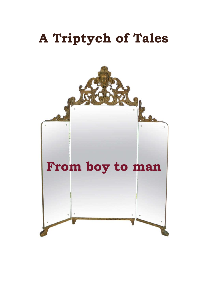# **A Triptych of Tales**

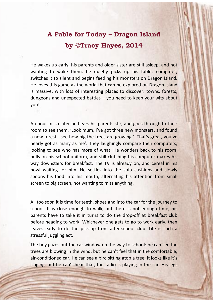### **A Fable for Today – Dragon Island by ©Tracy Hayes, 2014**

He wakes up early, his parents and older sister are still asleep, and not wanting to wake them, he quietly picks up his tablet computer, switches it to silent and begins feeding his monsters on Dragon Island. He loves this game as the world that can be explored on Dragon Island is massive, with lots of interesting places to discover: towns, forests, dungeons and unexpected battles – you need to keep your wits about you!

An hour or so later he hears his parents stir, and goes through to their room to see them. 'Look mum, I've got three new monsters, and found a new forest - see how big the trees are growing.' 'That's great, you've nearly got as many as me'. They laughingly compare their computers, looking to see who has more of what. He wonders back to his room, pulls on his school uniform, and still clutching his computer makes his way downstairs for breakfast. The TV is already on, and cereal in his bowl waiting for him. He settles into the sofa cushions and slowly spoons his food into his mouth, alternating his attention from small screen to big screen, not wanting to miss anything.

All too soon it is time for teeth, shoes and into the car for the journey to school. It is close enough to walk, but there is not enough time, his parents have to take it in turns to do the drop-off at breakfast club before heading to work. Whichever one gets to go to work early, then leaves early to do the pick-up from after-school club. Life is such a stressful juggling act.

The boy gazes out the car window on the way to school: he can see the trees are blowing in the wind, but he can't feel that in the comfortable, air-conditioned car. He can see a bird sitting atop a tree, it looks like it's singing, but he can't hear that, the radio is playing in the car. His legs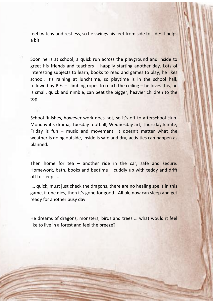feel twitchy and restless, so he swings his feet from side to side: it helps a bit.

Soon he is at school, a quick run across the playground and inside to greet his friends and teachers – happily starting another day. Lots of interesting subjects to learn, books to read and games to play; he likes school. It's raining at lunchtime, so playtime is in the school hall, followed by P.E. – climbing ropes to reach the ceiling  $-$  he loves this, he is small, quick and nimble, can beat the bigger, heavier children to the top.

School finishes, however work does not, so it's off to afterschool club. Monday it's drama, Tuesday football, Wednesday art, Thursday karate, Friday is fun – music and movement. It doesn't matter what the weather is doing outside, inside is safe and dry, activities can happen as planned.

Then home for tea – another ride in the car, safe and secure. Homework, bath, books and bedtime – cuddly up with teddy and drift off to sleep…..

.... quick, must just check the dragons, there are no healing spells in this game, if one dies, then it's gone for good! All ok, now can sleep and get ready for another busy day.

He dreams of dragons, monsters, birds and trees … what would it feel like to live in a forest and feel the breeze?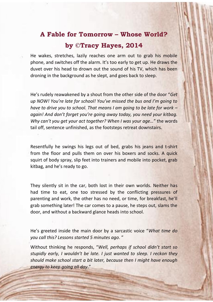## **A Fable for Tomorrow – Whose World? by ©Tracy Hayes, 2014**

He wakes, stretches, lazily reaches one arm out to grab his mobile phone, and switches off the alarm. It's too early to get up. He draws the duvet over his head to drown out the sound of his TV, which has been droning in the background as he slept, and goes back to sleep.

He's rudely reawakened by a shout from the other side of the door "*Get up NOW! You're late for school! You've missed the bus and I'm going to have to drive you to school. That means I am going to be late for work – again! And don't forget you're going away today, you need your kitbag. Why can't you get your act together? When I was your age…*" the words tail off, sentence unfinished, as the footsteps retreat downstairs.

Resentfully he swings his legs out of bed, grabs his jeans and t-shirt from the floor and pulls them on over his boxers and socks. A quick squirt of body spray, slip feet into trainers and mobile into pocket, grab kitbag, and he's ready to go.

They silently sit in the car, both lost in their own worlds. Neither has had time to eat, one too stressed by the conflicting pressures of parenting and work, the other has no need, or time, for breakfast, he'll grab something later! The car comes to a pause, he steps out, slams the door, and without a backward glance heads into school.

He's greeted inside the main door by a sarcastic voice "*What time do you call this? Lessons started 5 minutes ago*. "

Without thinking he responds, "*Well, perhaps if school didn't start so stupidly early, I wouldn't be late. I just wanted to sleep. I reckon they should make school start a bit later, because then I might have enough energy to keep going all day*."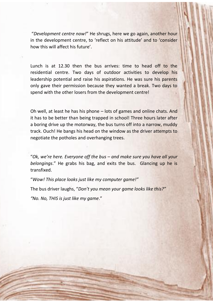"*Development centre now!*" He shrugs, here we go again, another hour in the development centre, to 'reflect on his attitude' and to 'consider how this will affect his future'.

Lunch is at 12.30 then the bus arrives: time to head off to the residential centre. Two days of outdoor activities to develop his leadership potential and raise his aspirations. He was sure his parents only gave their permission because they wanted a break. Two days to spend with the other losers from the development centre!

Oh well, at least he has his phone – lots of games and online chats. And it has to be better than being trapped in school! Three hours later after a boring drive up the motorway, the bus turns off into a narrow, muddy track. Ouch! He bangs his head on the window as the driver attempts to negotiate the potholes and overhanging trees.

"*Ok, we're here. Everyone off the bus – and make sure you have all your belongings*." He grabs his bag, and exits the bus. Glancing up he is transfixed.

"*Wow! This place looks just like my computer game!"*

The bus driver laughs, "*Don't you mean your game looks like this?"* 

*"No. No, THIS is just like my game*."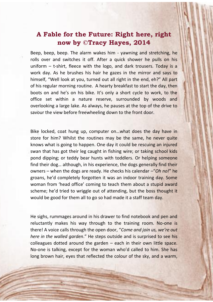#### **A Fable for the Future: Right here, right now by ©Tracy Hayes, 2014**

Beep, beep, beep. The alarm wakes him - yawning and stretching, he rolls over and switches it off. After a quick shower he pulls on his uniform – t-shirt, fleece with the logo, and dark trousers. Today is a work day. As he brushes his hair he gazes in the mirror and says to himself, "Well look at you, turned out all right in the end, eh?" All part of his regular morning routine. A hearty breakfast to start the day, then boots on and he's on his bike. It's only a short cycle to work, to the office set within a nature reserve, surrounded by woods and overlooking a large lake. As always, he pauses at the top of the drive to savour the view before freewheeling down to the front door.

Bike locked, coat hung up, computer on…what does the day have in store for him? Whilst the routines may be the same, he never quite knows what is going to happen. One day it could be rescuing an injured swan that has got their leg caught in fishing wire; or taking school kids pond dipping; or teddy bear hunts with toddlers. Or helping someone find their dog… although, in his experience, the dogs generally find their owners – when the dogs are ready. He checks his calendar –"*Oh no!*" he groans, he'd completely forgotten it was an indoor training day. Some woman from 'head office' coming to teach them about a stupid award scheme; he'd tried to wriggle out of attending, but the boss thought it would be good for them all to go so had made it a staff team day.

He sighs, rummages around in his drawer to find notebook and pen and reluctantly makes his way through to the training room. No-one is there! A voice calls through the open door, "*Come and join us, we're out here in the walled garden*." He steps outside and is surprised to see his colleagues dotted around the garden  $-$  each in their own little space. No-one is talking, except for the woman who'd called to him. She has long brown hair, eyes that reflected the colour of the sky, and a warm,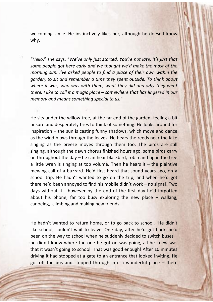welcoming smile. He instinctively likes her, although he doesn't know why.

"*Hello*," she says, "*We've only just started. You're not late, it's just that some people got here early and we thought we'd make the most of the morning sun. I've asked people to find a place of their own within the garden, to sit and remember a time they spent outside. To think about where it was, who was with them, what they did and why they went there. I like to call it a magic place – somewhere that has lingered in our memory and means something special to us.*"

He sits under the willow tree, at the far end of the garden, feeling a bit unsure and desperately tries to think of something. He looks around for inspiration – the sun is casting funny shadows, which move and dance as the wind blows through the leaves. He hears the reeds near the lake singing as the breeze moves through them too. The birds are still singing, although the dawn chorus finished hours ago, some birds carry on throughout the day – he can hear blackbird, robin and up in the tree a little wren is singing at top volume. Then he hears it  $-$  the plaintive mewing call of a buzzard. He'd first heard that sound years ago, on a school trip. He hadn't wanted to go on the trip, and when he'd got there he'd been annoyed to find his mobile didn't work – no signal! Two days without it - however by the end of the first day he'd forgotten about his phone, far too busy exploring the new place  $-$  walking, canoeing, climbing and making new friends.

He hadn't wanted to return home, or to go back to school. He didn't like school, couldn't wait to leave. One day, after he'd got back, he'd been on the way to school when he suddenly decided to switch buses – he didn't know where the one he got on was going, all he knew was that it wasn't going to school. That was good enough! After 10 minutes driving it had stopped at a gate to an entrance that looked inviting. He got off the bus and stepped through into a wonderful place – there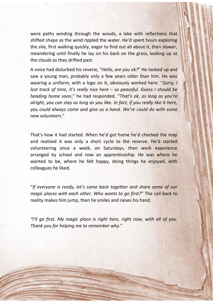were paths winding through the woods, a lake with reflections that shifted shape as the wind rippled the water. He'd spent hours exploring the site, first walking quickly, eager to find out all about it, then slower, meandering until finally he lay on his back on the grass, looking up at the clouds as they drifted past.

A voice had disturbed his reverie, "*Hello, are you ok?*" He looked up and saw a young man, probably only a few years older than him. He was wearing a uniform, with a logo on it, obviously worked here. "*Sorry, I lost track of time, it's really nice here – so peaceful. Guess I should be heading home soon*," he had responded. "*That's ok, as long as you're alright, you can stay as long as you like. In fact, if you really like it here, you could always come and give us a hand. We're could do with some new volunteers*."

That's how it had started. When he'd got home he'd checked the map and realised it was only a short cycle to the reserve. He'd started volunteering once a week, on Saturdays, then work experience arranged by school and now an apprenticeship. He was where he wanted to be, where he felt happy, doing things he enjoyed, with colleagues he liked.

"*If everyone is ready, let's come back together and share some of our magic places with each other. Who wants to go first?*" The call back to reality makes him jump, then he smiles and raises his hand.

*"I'll go first. My magic place is right here, right now, with all of you. Thank you for helping me to remember why*."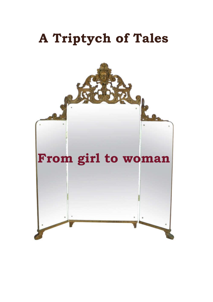# **A Triptych of Tales**

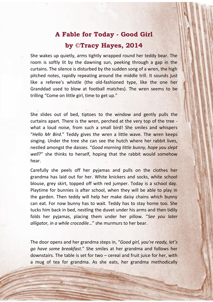## **A Fable for Today - Good Girl by ©Tracy Hayes, 2014**

She wakes up quietly, arms tightly wrapped round her teddy bear. The room is softly lit by the dawning sun, peeking through a gap in the curtains. The silence is disturbed by the sudden song of a wren, the high pitched notes, rapidly repeating around the middle trill. It sounds just like a referee's whistle (the old-fashioned type, like the one her Granddad used to blow at football matches). The wren seems to be trilling "Come on little girl, time to get up."

She slides out of bed, tiptoes to the window and gently pulls the curtains apart. There is the wren, perched at the very top of the tree what a loud noise, from such a small bird! She smiles and whispers "*Hello Mr Bird*." Teddy gives the wren a little wave. The wren keeps singing. Under the tree she can see the hutch where her rabbit lives, nestled amongst the daisies. "*Good morning little bunny, hope you slept well*?" she thinks to herself, hoping that the rabbit would somehow hear.

Carefully she peels off her pyjamas and pulls on the clothes her grandma has laid out for her. White knickers and socks, white school blouse, grey skirt, topped off with red jumper. Today is a school day. Playtime for bunnies is after school, when they will be able to play in the garden. Then teddy will help her make daisy chains which bunny can eat. For now bunny has to wait. Teddy has to stay home too. She tucks him back in bed, nestling the duvet under his arms and then tidily folds her pyjamas, placing them under her pillow. "*See you later alligator, in a while crocodile*…" she murmurs to her bear.

The door opens and her grandma steps in, "*Good girl, you're ready, let's go have some breakfast*." She smiles at her grandma and follows her downstairs. The table is set for two – cereal and fruit juice for her, with a mug of tea for grandma. As she eats, her grandma methodically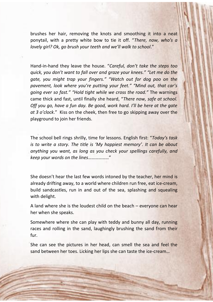brushes her hair, removing the knots and smoothing it into a neat ponytail, with a pretty white bow to tie it off. "*There, now, who's a lovely girl? Ok, go brush your teeth and we'll walk to school*."

Hand-in-hand they leave the house. "*Careful, don't take the steps too quick, you don't want to fall over and graze your knees." "Let me do the gate, you might trap your fingers." "Watch out for dog poo on the pavement, look where you're putting your feet." "Mind out, that car's going ever so fast." "Hold tight while we cross the road."* The warnings came thick and fast, until finally she heard, "*There now, safe at school. Off you go, have a fun day. Be good, work hard. I'll be here at the gate at 3 o'clock*." Kiss on the cheek, then free to go skipping away over the playground to join her friends.

The school bell rings shrilly, time for lessons. English first: "*Today's task is to write a story. The title is 'My happiest memory'*. *It can be about anything you want, as long as you check your spellings carefully, and keep your words on the lines*………………"

She doesn't hear the last few words intoned by the teacher, her mind is already drifting away, to a world where children run free, eat ice-cream, build sandcastles, run in and out of the sea, splashing and squealing with delight.

A land where she is the loudest child on the beach – everyone can hear her when she speaks.

Somewhere where she can play with teddy and bunny all day, running races and rolling in the sand, laughingly brushing the sand from their fur.

She can see the pictures in her head, can smell the sea and feel the sand between her toes. Licking her lips she can taste the ice-cream…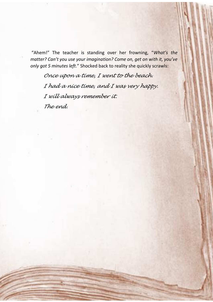"Ahem!" The teacher is standing over her frowning, "*What's the matter? Can't you use your imagination? Come on, get on with it, you've only got 5 minutes left*." Shocked back to reality she quickly scrawls:

*Once upon a time, I went to the beach. I had a nice time, and I was very happy. I will always remember it. The end.*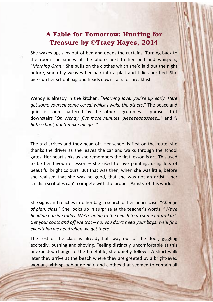#### **A Fable for Tomorrow: Hunting for Treasure by ©Tracy Hayes, 2014**

She wakes up, slips out of bed and opens the curtains. Turning back to the room she smiles at the photo next to her bed and whispers, "*Morning Gran*." She pulls on the clothes which she'd laid out the night before, smoothly weaves her hair into a plait and tidies her bed. She picks up her school bag and heads downstairs for breakfast.

Wendy is already in the kitchen, "*Morning love, you're up early. Here get some yourself some cereal whilst I wake the others*." The peace and quiet is soon shattered by the others' grumbles – phrases drift downstairs "*Oh Wendy, five more minutes, pleeeeeaaasseee…*" and "*I hate school, don't make me go…*"

The taxi arrives and they head off. Her school is first on the route; she thanks the driver as she leaves the car and walks through the school gates. Her heart sinks as she remembers the first lesson is art. This used to be her favourite lesson – she used to love painting, using lots of beautiful bright colours. But that was then, when she was little, before she realised that she was no good, that she was not an artist - her childish scribbles can't compete with the proper 'Artists' of this world.

She sighs and reaches into her bag in search of her pencil case. "*Change of plan, class*." She looks up in surprise at the teacher's words, "*We're heading outside today. We're going to the beach to do some natural art. Get your coats and off we trot – no, you don't need your bags, we'll find everything we need when we get there*."

The rest of the class is already half way out of the door, giggling excitedly, pushing and shoving. Feeling distinctly uncomfortable at this unexpected change to the timetable, she quietly follows. A short walk later they arrive at the beach where they are greeted by a bright-eyed woman, with spiky blonde hair, and clothes that seemed to contain all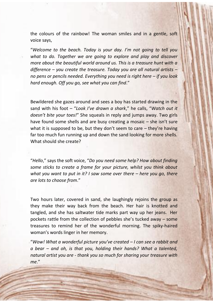the colours of the rainbow! The woman smiles and in a gentle, soft voice says,

"*Welcome to the beach. Today is your day. I'm not going to tell you what to do. Together we are going to explore and play and discover more about the beautiful world around us. This is a treasure hunt with a difference – you create the treasure. Today you are all natural artists – no pens or pencils needed. Everything you need is right here – if you look hard enough. Off you go, see what you can find*."

Bewildered she gazes around and sees a boy has started drawing in the sand with his foot – "*Look I've drawn a shark*," he calls, "*Watch out it doesn't bite your toes!*" She squeals in reply and jumps away. Two girls have found some shells and are busy creating a mosaic – she isn't sure what it is supposed to be, but they don't seem to care  $-$  they're having far too much fun running up and down the sand looking for more shells. What should she create?

"*Hello*," says the soft voice, "*Do you need some help? How about finding some sticks to create a frame for your picture, whilst you think about what you want to put in it? I saw some over there – here you go, there are lots to choose from*."

Two hours later, covered in sand, she laughingly rejoins the group as they make their way back from the beach. Her hair is knotted and tangled, and she has saltwater tide marks part way up her jeans. Her pockets rattle from the collection of pebbles she's tucked away – some treasures to remind her of the wonderful morning. The spiky-haired woman's words linger in her memory.

"*Wow! What a wonderful picture you've created – I can see a rabbit and a bear – and oh, is that you, holding their hands? What a talented, natural artist you are - thank you so much for sharing your treasure with me*."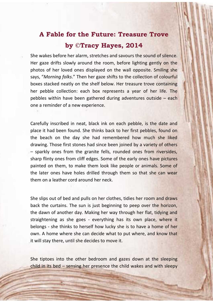### **A Fable for the Future: Treasure Trove by ©Tracy Hayes, 2014**

She wakes before her alarm, stretches and savours the sound of silence. Her gaze drifts slowly around the room, before lighting gently on the photos of her loved ones displayed on the wall opposite. Smiling she says, "*Morning folks*." Then her gaze shifts to the collection of colourful boxes stacked neatly on the shelf below. Her treasure trove containing her pebble collection: each box represents a year of her life. The pebbles within have been gathered during adventures outside – each one a reminder of a new experience.

Carefully inscribed in neat, black ink on each pebble, is the date and place it had been found. She thinks back to her first pebbles, found on the beach on the day she had remembered how much she liked drawing. Those first stones had since been joined by a variety of others – sparkly ones from the granite fells, rounded ones from riversides, sharp flinty ones from cliff edges. Some of the early ones have pictures painted on them, to make them look like people or animals. Some of the later ones have holes drilled through them so that she can wear them on a leather cord around her neck.

She slips out of bed and pulls on her clothes, tidies her room and draws back the curtains. The sun is just beginning to peep over the horizon, the dawn of another day. Making her way through her flat, tidying and straightening as she goes - everything has its own place, where it belongs - she thinks to herself how lucky she is to have a home of her own. A home where she can decide what to put where, and know that it will stay there, until she decides to move it.

She tiptoes into the other bedroom and gazes down at the sleeping child in its bed – sensing her presence the child wakes and with sleepy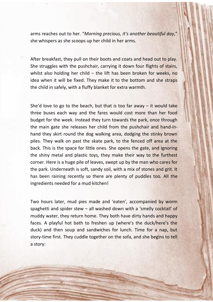arms reaches out to her. "*Morning precious, it's another beautiful day*," she whispers as she scoops up her child in her arms.

After breakfast, they pull on their boots and coats and head out to play. She struggles with the pushchair, carrying it down four flights of stairs, whilst also holding her child – the lift has been broken for weeks, no idea when it will be fixed. They make it to the bottom and she straps the child in safely, with a fluffy blanket for extra warmth.

She'd love to go to the beach, but that is too far away  $-$  it would take three buses each way and the fares would cost more than her food budget for the week. Instead they turn towards the park, once through the main gate she releases her child from the pushchair and hand-inhand they skirt round the dog walking area, dodging the stinky brown piles. They walk on past the skate park, to the fenced off area at the back. This is the space for little ones. She opens the gate, and ignoring the shiny metal and plastic toys, they make their way to the furthest corner. Here is a huge pile of leaves, swept up by the man who cares for the park. Underneath is soft, sandy soil, with a mix of stones and grit. It has been raining recently so there are plenty of puddles too. All the ingredients needed for a mud kitchen!

Two hours later, mud pies made and 'eaten', accompanied by worm spaghetti and spider stew – all washed down with a 'smelly cocktail' of muddy water, they return home. They both have dirty hands and happy faces. A playful hot bath to freshen up (where's the duck/here's the duck) and then soup and sandwiches for lunch. Time for a nap, but story-time first. They cuddle together on the sofa, and she begins to tell a story: